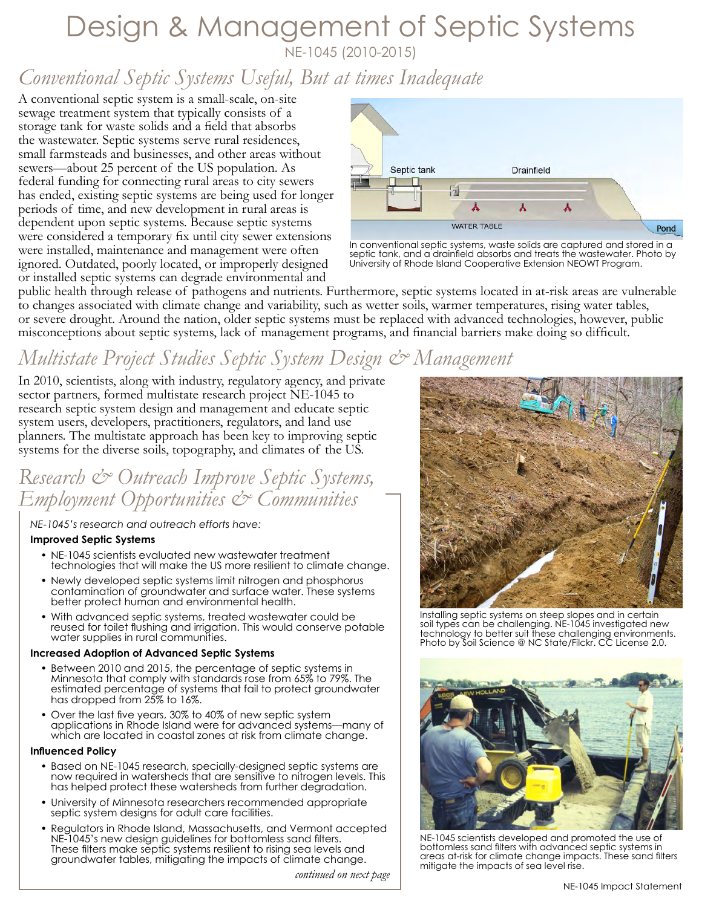# Design & Management of Septic Systems

NE-1045 (2010-2015)

# *Conventional Septic Systems Useful, But at times Inadequate*

A conventional septic system is a small-scale, on-site sewage treatment system that typically consists of a storage tank for waste solids and a field that absorbs the wastewater. Septic systems serve rural residences, small farmsteads and businesses, and other areas without sewers—about 25 percent of the US population. As federal funding for connecting rural areas to city sewers has ended, existing septic systems are being used for longer periods of time, and new development in rural areas is dependent upon septic systems. Because septic systems were considered a temporary fix until city sewer extensions were installed, maintenance and management were often ignored. Outdated, poorly located, or improperly designed or installed septic systems can degrade environmental and



In conventional septic systems, waste solids are captured and stored in a septic tank, and a drainfield absorbs and treats the wastewater. Photo by University of Rhode Island Cooperative Extension NEOWT Program.

public health through release of pathogens and nutrients. Furthermore, septic systems located in at-risk areas are vulnerable to changes associated with climate change and variability, such as wetter soils, warmer temperatures, rising water tables, or severe drought. Around the nation, older septic systems must be replaced with advanced technologies, however, public misconceptions about septic systems, lack of management programs, and financial barriers make doing so difficult.

# *Multistate Project Studies Septic System Design & Management*

In 2010, scientists, along with industry, regulatory agency, and private sector partners, formed multistate research project NE-1045 to research septic system design and management and educate septic system users, developers, practitioners, regulators, and land use planners. The multistate approach has been key to improving septic systems for the diverse soils, topography, and climates of the US.

# *Research & Outreach Improve Septic Systems, Employment Opportunities & Communities*

### *NE-1045's research and outreach efforts have:*

#### **Improved Septic Systems**

- NE-1045 scientists evaluated new wastewater treatment technologies that will make the US more resilient to climate change.
- Newly developed septic systems limit nitrogen and phosphorus contamination of groundwater and surface water. These systems better protect human and environmental health.
- With advanced septic systems, treated wastewater could be reused for toilet flushing and irrigation. This would conserve potable water supplies in rural communities.

#### **Increased Adoption of Advanced Septic Systems**

- Between 2010 and 2015, the percentage of septic systems in Minnesota that comply with standards rose from 65% to 79%. The estimated percentage of systems that fail to protect groundwater has dropped from 25% to 16%.
- Over the last five years, 30% to 40% of new septic system applications in Rhode Island were for advanced systems—many of which are located in coastal zones at risk from climate change.

#### **Influenced Policy**

- Based on NE-1045 research, specially-designed septic systems are now required in watersheds that are sensitive to nitrogen levels. This has helped protect these watersheds from further degradation.
- University of Minnesota researchers recommended appropriate septic system designs for adult care facilities.
- Regulators in Rhode Island, Massachusetts, and Vermont accepted NE-1045's new design guidelines for bottomless sand filters. These filters make septic systems resilient to rising sea levels and groundwater tables, mitigating the impacts of climate change.

 *continued on next page*



Installing septic systems on steep slopes and in certain soil types can be challenging. NE-1045 investigated new technology to better suit these challenging environments. Photo by Soil Science @ NC State/Filckr. [CC License 2.0.](https://creativecommons.org/licenses/by-nc/2.0/legalcode)



NE-1045 scientists developed and promoted the use of bottomless sand filters with advanced septic systems in areas at-risk for climate change impacts. These sand filters mitigate the impacts of sea level rise.